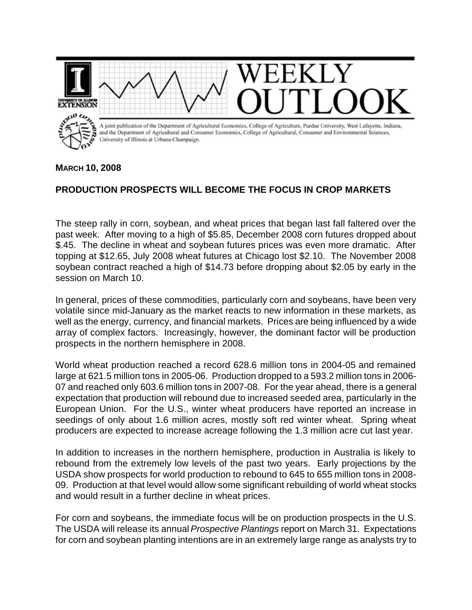

## **MARCH 10, 2008**

## **PRODUCTION PROSPECTS WILL BECOME THE FOCUS IN CROP MARKETS**

The steep rally in corn, soybean, and wheat prices that began last fall faltered over the past week. After moving to a high of \$5.85, December 2008 corn futures dropped about \$.45. The decline in wheat and soybean futures prices was even more dramatic. After topping at \$12.65, July 2008 wheat futures at Chicago lost \$2.10. The November 2008 soybean contract reached a high of \$14.73 before dropping about \$2.05 by early in the session on March 10.

In general, prices of these commodities, particularly corn and soybeans, have been very volatile since mid-January as the market reacts to new information in these markets, as well as the energy, currency, and financial markets. Prices are being influenced by a wide array of complex factors. Increasingly, however, the dominant factor will be production prospects in the northern hemisphere in 2008.

World wheat production reached a record 628.6 million tons in 2004-05 and remained large at 621.5 million tons in 2005-06. Production dropped to a 593.2 million tons in 2006- 07 and reached only 603.6 million tons in 2007-08. For the year ahead, there is a general expectation that production will rebound due to increased seeded area, particularly in the European Union. For the U.S., winter wheat producers have reported an increase in seedings of only about 1.6 million acres, mostly soft red winter wheat. Spring wheat producers are expected to increase acreage following the 1.3 million acre cut last year.

In addition to increases in the northern hemisphere, production in Australia is likely to rebound from the extremely low levels of the past two years. Early projections by the USDA show prospects for world production to rebound to 645 to 655 million tons in 2008- 09. Production at that level would allow some significant rebuilding of world wheat stocks and would result in a further decline in wheat prices.

For corn and soybeans, the immediate focus will be on production prospects in the U.S. The USDA will release its annual *Prospective Plantings* report on March 31. Expectations for corn and soybean planting intentions are in an extremely large range as analysts try to